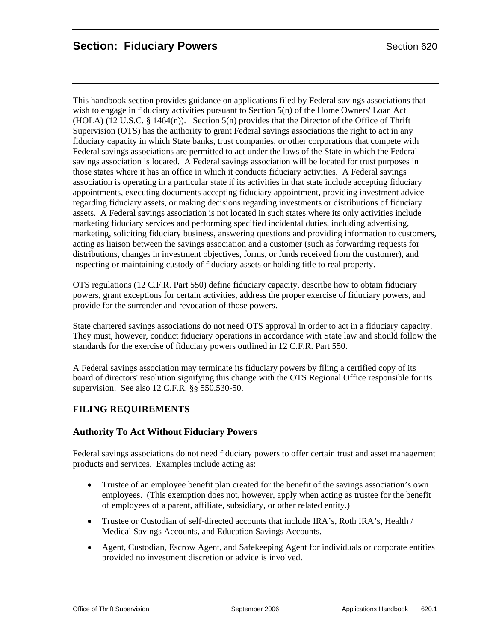This handbook section provides guidance on applications filed by Federal savings associations that wish to engage in fiduciary activities pursuant to Section 5(n) of the Home Owners' Loan Act  $(HOLA)$  (12 U.S.C. § 1464(n)). Section 5(n) provides that the Director of the Office of Thrift Supervision (OTS) has the authority to grant Federal savings associations the right to act in any fiduciary capacity in which State banks, trust companies, or other corporations that compete with Federal savings associations are permitted to act under the laws of the State in which the Federal savings association is located. A Federal savings association will be located for trust purposes in those states where it has an office in which it conducts fiduciary activities. A Federal savings association is operating in a particular state if its activities in that state include accepting fiduciary appointments, executing documents accepting fiduciary appointment, providing investment advice regarding fiduciary assets, or making decisions regarding investments or distributions of fiduciary assets. A Federal savings association is not located in such states where its only activities include marketing fiduciary services and performing specified incidental duties, including advertising, marketing, soliciting fiduciary business, answering questions and providing information to customers, acting as liaison between the savings association and a customer (such as forwarding requests for distributions, changes in investment objectives, forms, or funds received from the customer), and inspecting or maintaining custody of fiduciary assets or holding title to real property.

OTS regulations (12 C.F.R. Part 550) define fiduciary capacity, describe how to obtain fiduciary powers, grant exceptions for certain activities, address the proper exercise of fiduciary powers, and provide for the surrender and revocation of those powers.

State chartered savings associations do not need OTS approval in order to act in a fiduciary capacity. They must, however, conduct fiduciary operations in accordance with State law and should follow the standards for the exercise of fiduciary powers outlined in 12 C.F.R. Part 550.

A Federal savings association may terminate its fiduciary powers by filing a certified copy of its board of directors' resolution signifying this change with the OTS Regional Office responsible for its supervision. See also 12 C.F.R. §§ 550.530-50.

## **FILING REQUIREMENTS**

### **Authority To Act Without Fiduciary Powers**

Federal savings associations do not need fiduciary powers to offer certain trust and asset management products and services. Examples include acting as:

- Trustee of an employee benefit plan created for the benefit of the savings association's own employees. (This exemption does not, however, apply when acting as trustee for the benefit of employees of a parent, affiliate, subsidiary, or other related entity.)
- Trustee or Custodian of self-directed accounts that include IRA's, Roth IRA's, Health / Medical Savings Accounts, and Education Savings Accounts.
- Agent, Custodian, Escrow Agent, and Safekeeping Agent for individuals or corporate entities provided no investment discretion or advice is involved.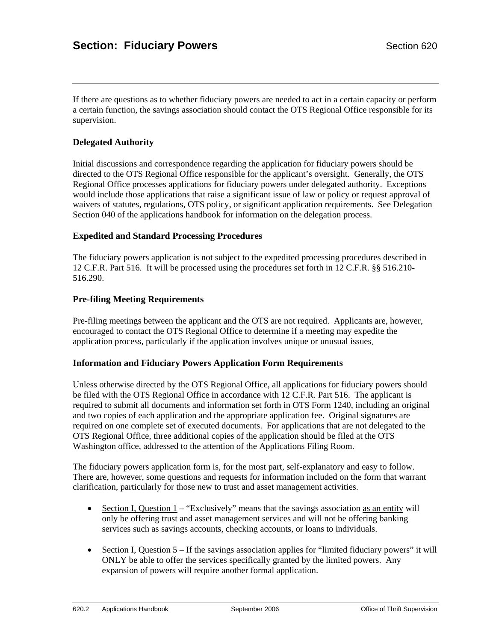If there are questions as to whether fiduciary powers are needed to act in a certain capacity or perform a certain function, the savings association should contact the OTS Regional Office responsible for its supervision.

#### **Delegated Authority**

Initial discussions and correspondence regarding the application for fiduciary powers should be directed to the OTS Regional Office responsible for the applicant's oversight. Generally, the OTS Regional Office processes applications for fiduciary powers under delegated authority. Exceptions would include those applications that raise a significant issue of law or policy or request approval of waivers of statutes, regulations, OTS policy, or significant application requirements. See Delegation Section 040 of the applications handbook for information on the delegation process.

#### **Expedited and Standard Processing Procedures**

The fiduciary powers application is not subject to the expedited processing procedures described in 12 C.F.R. Part 516. It will be processed using the procedures set forth in 12 C.F.R. §§ 516.210- 516.290.

#### **Pre-filing Meeting Requirements**

Pre-filing meetings between the applicant and the OTS are not required. Applicants are, however, encouraged to contact the OTS Regional Office to determine if a meeting may expedite the application process, particularly if the application involves unique or unusual issues.

#### **Information and Fiduciary Powers Application Form Requirements**

Unless otherwise directed by the OTS Regional Office, all applications for fiduciary powers should be filed with the OTS Regional Office in accordance with 12 C.F.R. Part 516. The applicant is required to submit all documents and information set forth in OTS Form 1240, including an original and two copies of each application and the appropriate application fee. Original signatures are required on one complete set of executed documents. For applications that are not delegated to the OTS Regional Office, three additional copies of the application should be filed at the OTS Washington office, addressed to the attention of the Applications Filing Room.

The fiduciary powers application form is, for the most part, self-explanatory and easy to follow. There are, however, some questions and requests for information included on the form that warrant clarification, particularly for those new to trust and asset management activities.

- Section I, Question 1 "Exclusively" means that the savings association as an entity will only be offering trust and asset management services and will not be offering banking services such as savings accounts, checking accounts, or loans to individuals.
- Section I, Question  $5 If$  the savings association applies for "limited fiduciary powers" it will ONLY be able to offer the services specifically granted by the limited powers. Any expansion of powers will require another formal application.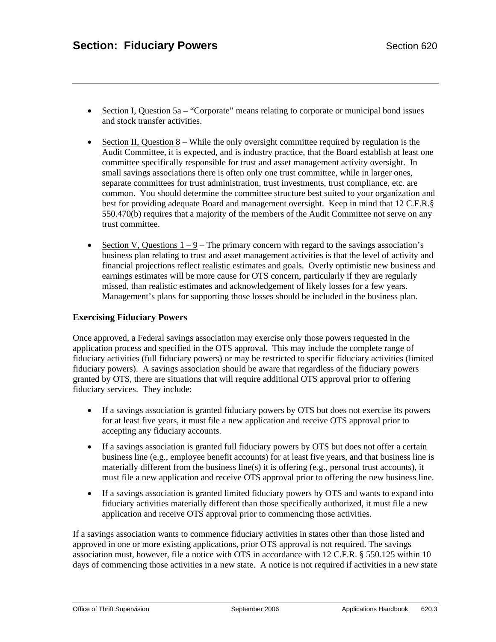- Section I, Question  $5a -$  "Corporate" means relating to corporate or municipal bond issues and stock transfer activities.
- Section II, Question 8 While the only oversight committee required by regulation is the Audit Committee, it is expected, and is industry practice, that the Board establish at least one committee specifically responsible for trust and asset management activity oversight. In small savings associations there is often only one trust committee, while in larger ones, separate committees for trust administration, trust investments, trust compliance, etc. are common. You should determine the committee structure best suited to your organization and best for providing adequate Board and management oversight. Keep in mind that 12 C.F.R.§ 550.470(b) requires that a majority of the members of the Audit Committee not serve on any trust committee.
- Section V, Questions  $1 9$  The primary concern with regard to the savings association's business plan relating to trust and asset management activities is that the level of activity and financial projections reflect realistic estimates and goals. Overly optimistic new business and earnings estimates will be more cause for OTS concern, particularly if they are regularly missed, than realistic estimates and acknowledgement of likely losses for a few years. Management's plans for supporting those losses should be included in the business plan.

#### **Exercising Fiduciary Powers**

Once approved, a Federal savings association may exercise only those powers requested in the application process and specified in the OTS approval. This may include the complete range of fiduciary activities (full fiduciary powers) or may be restricted to specific fiduciary activities (limited fiduciary powers). A savings association should be aware that regardless of the fiduciary powers granted by OTS, there are situations that will require additional OTS approval prior to offering fiduciary services. They include:

- If a savings association is granted fiduciary powers by OTS but does not exercise its powers for at least five years, it must file a new application and receive OTS approval prior to accepting any fiduciary accounts.
- If a savings association is granted full fiduciary powers by OTS but does not offer a certain business line (e.g., employee benefit accounts) for at least five years, and that business line is materially different from the business line(s) it is offering (e.g., personal trust accounts), it must file a new application and receive OTS approval prior to offering the new business line.
- If a savings association is granted limited fiduciary powers by OTS and wants to expand into fiduciary activities materially different than those specifically authorized, it must file a new application and receive OTS approval prior to commencing those activities.

If a savings association wants to commence fiduciary activities in states other than those listed and approved in one or more existing applications, prior OTS approval is not required. The savings association must, however, file a notice with OTS in accordance with 12 C.F.R. § 550.125 within 10 days of commencing those activities in a new state. A notice is not required if activities in a new state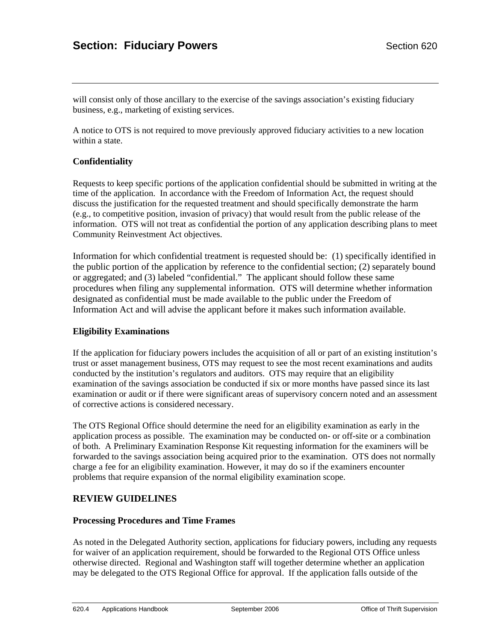# **Section: Fiduciary Powers Section 620**

will consist only of those ancillary to the exercise of the savings association's existing fiduciary business, e.g., marketing of existing services.

A notice to OTS is not required to move previously approved fiduciary activities to a new location within a state.

#### **Confidentiality**

Requests to keep specific portions of the application confidential should be submitted in writing at the time of the application. In accordance with the Freedom of Information Act, the request should discuss the justification for the requested treatment and should specifically demonstrate the harm (e.g., to competitive position, invasion of privacy) that would result from the public release of the information. OTS will not treat as confidential the portion of any application describing plans to meet Community Reinvestment Act objectives.

Information for which confidential treatment is requested should be: (1) specifically identified in the public portion of the application by reference to the confidential section; (2) separately bound or aggregated; and (3) labeled "confidential." The applicant should follow these same procedures when filing any supplemental information. OTS will determine whether information designated as confidential must be made available to the public under the Freedom of Information Act and will advise the applicant before it makes such information available.

#### **Eligibility Examinations**

If the application for fiduciary powers includes the acquisition of all or part of an existing institution's trust or asset management business, OTS may request to see the most recent examinations and audits conducted by the institution's regulators and auditors. OTS may require that an eligibility examination of the savings association be conducted if six or more months have passed since its last examination or audit or if there were significant areas of supervisory concern noted and an assessment of corrective actions is considered necessary.

The OTS Regional Office should determine the need for an eligibility examination as early in the application process as possible. The examination may be conducted on- or off-site or a combination of both. A Preliminary Examination Response Kit requesting information for the examiners will be forwarded to the savings association being acquired prior to the examination. OTS does not normally charge a fee for an eligibility examination. However, it may do so if the examiners encounter problems that require expansion of the normal eligibility examination scope.

### **REVIEW GUIDELINES**

#### **Processing Procedures and Time Frames**

As noted in the Delegated Authority section, applications for fiduciary powers, including any requests for waiver of an application requirement, should be forwarded to the Regional OTS Office unless otherwise directed. Regional and Washington staff will together determine whether an application may be delegated to the OTS Regional Office for approval. If the application falls outside of the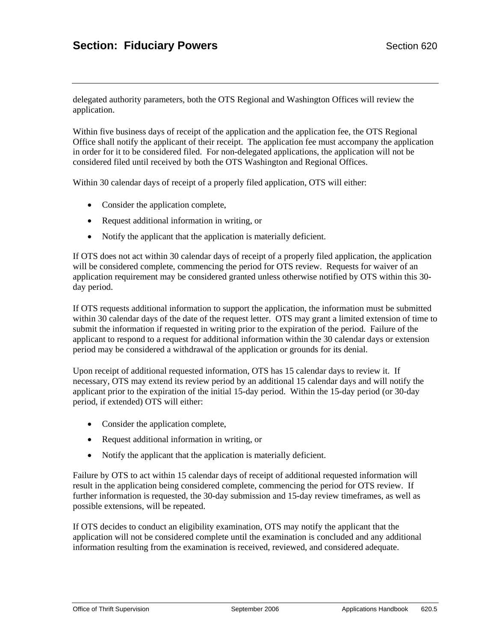delegated authority parameters, both the OTS Regional and Washington Offices will review the application.

Within five business days of receipt of the application and the application fee, the OTS Regional Office shall notify the applicant of their receipt. The application fee must accompany the application in order for it to be considered filed. For non-delegated applications, the application will not be considered filed until received by both the OTS Washington and Regional Offices.

Within 30 calendar days of receipt of a properly filed application, OTS will either:

- Consider the application complete,
- Request additional information in writing, or
- Notify the applicant that the application is materially deficient.

If OTS does not act within 30 calendar days of receipt of a properly filed application, the application will be considered complete, commencing the period for OTS review. Requests for waiver of an application requirement may be considered granted unless otherwise notified by OTS within this 30 day period.

If OTS requests additional information to support the application, the information must be submitted within 30 calendar days of the date of the request letter. OTS may grant a limited extension of time to submit the information if requested in writing prior to the expiration of the period. Failure of the applicant to respond to a request for additional information within the 30 calendar days or extension period may be considered a withdrawal of the application or grounds for its denial.

Upon receipt of additional requested information, OTS has 15 calendar days to review it. If necessary, OTS may extend its review period by an additional 15 calendar days and will notify the applicant prior to the expiration of the initial 15-day period. Within the 15-day period (or 30-day period, if extended) OTS will either:

- Consider the application complete,
- Request additional information in writing, or
- Notify the applicant that the application is materially deficient.

Failure by OTS to act within 15 calendar days of receipt of additional requested information will result in the application being considered complete, commencing the period for OTS review. If further information is requested, the 30-day submission and 15-day review timeframes, as well as possible extensions, will be repeated.

If OTS decides to conduct an eligibility examination, OTS may notify the applicant that the application will not be considered complete until the examination is concluded and any additional information resulting from the examination is received, reviewed, and considered adequate.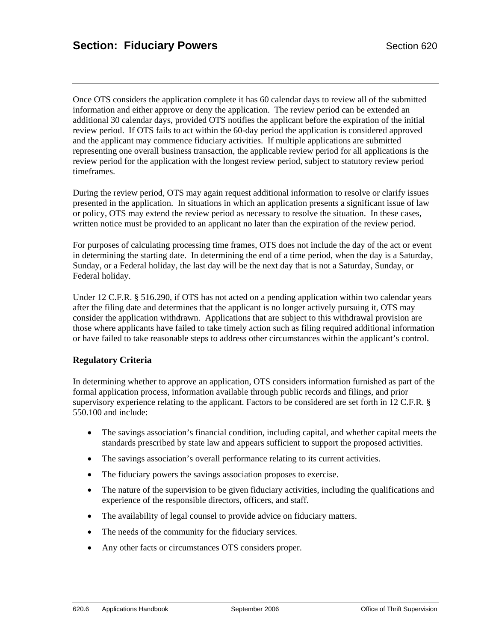Once OTS considers the application complete it has 60 calendar days to review all of the submitted information and either approve or deny the application. The review period can be extended an additional 30 calendar days, provided OTS notifies the applicant before the expiration of the initial review period. If OTS fails to act within the 60-day period the application is considered approved and the applicant may commence fiduciary activities. If multiple applications are submitted representing one overall business transaction, the applicable review period for all applications is the review period for the application with the longest review period, subject to statutory review period timeframes.

During the review period, OTS may again request additional information to resolve or clarify issues presented in the application. In situations in which an application presents a significant issue of law or policy, OTS may extend the review period as necessary to resolve the situation. In these cases, written notice must be provided to an applicant no later than the expiration of the review period.

For purposes of calculating processing time frames, OTS does not include the day of the act or event in determining the starting date. In determining the end of a time period, when the day is a Saturday, Sunday, or a Federal holiday, the last day will be the next day that is not a Saturday, Sunday, or Federal holiday.

Under 12 C.F.R. § 516.290, if OTS has not acted on a pending application within two calendar years after the filing date and determines that the applicant is no longer actively pursuing it, OTS may consider the application withdrawn. Applications that are subject to this withdrawal provision are those where applicants have failed to take timely action such as filing required additional information or have failed to take reasonable steps to address other circumstances within the applicant's control.

#### **Regulatory Criteria**

In determining whether to approve an application, OTS considers information furnished as part of the formal application process, information available through public records and filings, and prior supervisory experience relating to the applicant. Factors to be considered are set forth in 12 C.F.R. § 550.100 and include:

- The savings association's financial condition, including capital, and whether capital meets the standards prescribed by state law and appears sufficient to support the proposed activities.
- The savings association's overall performance relating to its current activities.
- The fiduciary powers the savings association proposes to exercise.
- The nature of the supervision to be given fiduciary activities, including the qualifications and experience of the responsible directors, officers, and staff.
- The availability of legal counsel to provide advice on fiduciary matters.
- The needs of the community for the fiduciary services.
- Any other facts or circumstances OTS considers proper.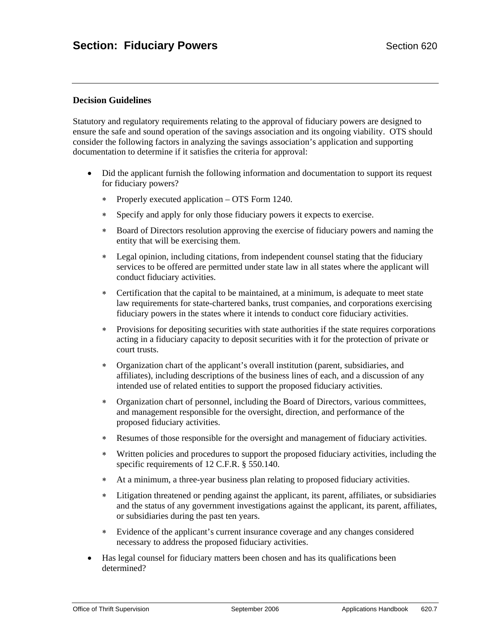#### **Decision Guidelines**

Statutory and regulatory requirements relating to the approval of fiduciary powers are designed to ensure the safe and sound operation of the savings association and its ongoing viability. OTS should consider the following factors in analyzing the savings association's application and supporting documentation to determine if it satisfies the criteria for approval:

- Did the applicant furnish the following information and documentation to support its request for fiduciary powers?
	- ∗ Properly executed application OTS Form 1240.
	- ∗ Specify and apply for only those fiduciary powers it expects to exercise.
	- ∗ Board of Directors resolution approving the exercise of fiduciary powers and naming the entity that will be exercising them.
	- ∗ Legal opinion, including citations, from independent counsel stating that the fiduciary services to be offered are permitted under state law in all states where the applicant will conduct fiduciary activities.
	- ∗ Certification that the capital to be maintained, at a minimum, is adequate to meet state law requirements for state-chartered banks, trust companies, and corporations exercising fiduciary powers in the states where it intends to conduct core fiduciary activities.
	- ∗ Provisions for depositing securities with state authorities if the state requires corporations acting in a fiduciary capacity to deposit securities with it for the protection of private or court trusts.
	- ∗ Organization chart of the applicant's overall institution (parent, subsidiaries, and affiliates), including descriptions of the business lines of each, and a discussion of any intended use of related entities to support the proposed fiduciary activities.
	- ∗ Organization chart of personnel, including the Board of Directors, various committees, and management responsible for the oversight, direction, and performance of the proposed fiduciary activities.
	- ∗ Resumes of those responsible for the oversight and management of fiduciary activities.
	- ∗ Written policies and procedures to support the proposed fiduciary activities, including the specific requirements of 12 C.F.R. § 550.140.
	- ∗ At a minimum, a three-year business plan relating to proposed fiduciary activities.
	- ∗ Litigation threatened or pending against the applicant, its parent, affiliates, or subsidiaries and the status of any government investigations against the applicant, its parent, affiliates, or subsidiaries during the past ten years.
	- ∗ Evidence of the applicant's current insurance coverage and any changes considered necessary to address the proposed fiduciary activities.
- Has legal counsel for fiduciary matters been chosen and has its qualifications been determined?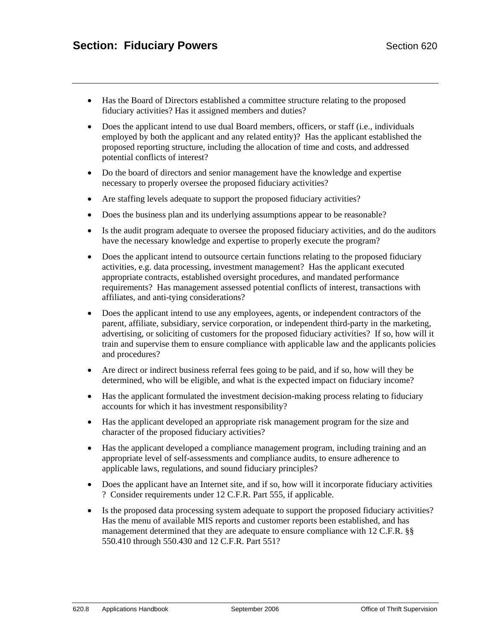- Has the Board of Directors established a committee structure relating to the proposed fiduciary activities? Has it assigned members and duties?
- Does the applicant intend to use dual Board members, officers, or staff (i.e., individuals employed by both the applicant and any related entity)? Has the applicant established the proposed reporting structure, including the allocation of time and costs, and addressed potential conflicts of interest?
- Do the board of directors and senior management have the knowledge and expertise necessary to properly oversee the proposed fiduciary activities?
- Are staffing levels adequate to support the proposed fiduciary activities?
- Does the business plan and its underlying assumptions appear to be reasonable?
- Is the audit program adequate to oversee the proposed fiduciary activities, and do the auditors have the necessary knowledge and expertise to properly execute the program?
- Does the applicant intend to outsource certain functions relating to the proposed fiduciary activities, e.g. data processing, investment management? Has the applicant executed appropriate contracts, established oversight procedures, and mandated performance requirements? Has management assessed potential conflicts of interest, transactions with affiliates, and anti-tying considerations?
- Does the applicant intend to use any employees, agents, or independent contractors of the parent, affiliate, subsidiary, service corporation, or independent third-party in the marketing, advertising, or soliciting of customers for the proposed fiduciary activities? If so, how will it train and supervise them to ensure compliance with applicable law and the applicants policies and procedures?
- Are direct or indirect business referral fees going to be paid, and if so, how will they be determined, who will be eligible, and what is the expected impact on fiduciary income?
- Has the applicant formulated the investment decision-making process relating to fiduciary accounts for which it has investment responsibility?
- Has the applicant developed an appropriate risk management program for the size and character of the proposed fiduciary activities?
- Has the applicant developed a compliance management program, including training and an appropriate level of self-assessments and compliance audits, to ensure adherence to applicable laws, regulations, and sound fiduciary principles?
- Does the applicant have an Internet site, and if so, how will it incorporate fiduciary activities ? Consider requirements under 12 C.F.R. Part 555, if applicable.
- Is the proposed data processing system adequate to support the proposed fiduciary activities? Has the menu of available MIS reports and customer reports been established, and has management determined that they are adequate to ensure compliance with 12 C.F.R. §§ 550.410 through 550.430 and 12 C.F.R. Part 551?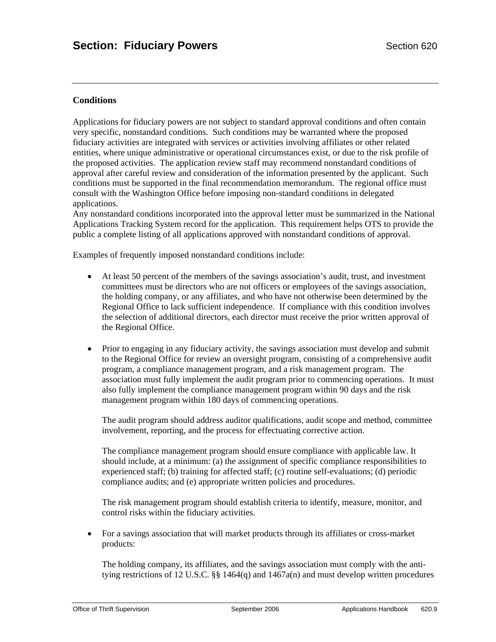### **Conditions**

Applications for fiduciary powers are not subject to standard approval conditions and often contain very specific, nonstandard conditions. Such conditions may be warranted where the proposed fiduciary activities are integrated with services or activities involving affiliates or other related entities, where unique administrative or operational circumstances exist, or due to the risk profile of the proposed activities. The application review staff may recommend nonstandard conditions of approval after careful review and consideration of the information presented by the applicant. Such conditions must be supported in the final recommendation memorandum. The regional office must consult with the Washington Office before imposing non-standard conditions in delegated applications.

Any nonstandard conditions incorporated into the approval letter must be summarized in the National Applications Tracking System record for the application. This requirement helps OTS to provide the public a complete listing of all applications approved with nonstandard conditions of approval.

Examples of frequently imposed nonstandard conditions include:

- At least 50 percent of the members of the savings association's audit, trust, and investment committees must be directors who are not officers or employees of the savings association, the holding company, or any affiliates, and who have not otherwise been determined by the Regional Office to lack sufficient independence. If compliance with this condition involves the selection of additional directors, each director must receive the prior written approval of the Regional Office.
- Prior to engaging in any fiduciary activity, the savings association must develop and submit to the Regional Office for review an oversight program, consisting of a comprehensive audit program, a compliance management program, and a risk management program. The association must fully implement the audit program prior to commencing operations. It must also fully implement the compliance management program within 90 days and the risk management program within 180 days of commencing operations.

The audit program should address auditor qualifications, audit scope and method, committee involvement, reporting, and the process for effectuating corrective action.

The compliance management program should ensure compliance with applicable law. It should include, at a minimum: (a) the assignment of specific compliance responsibilities to experienced staff; (b) training for affected staff; (c) routine self-evaluations; (d) periodic compliance audits; and (e) appropriate written policies and procedures.

The risk management program should establish criteria to identify, measure, monitor, and control risks within the fiduciary activities.

• For a savings association that will market products through its affiliates or cross-market products:

The holding company, its affiliates, and the savings association must comply with the antitying restrictions of 12 U.S.C. §§ 1464(q) and 1467a(n) and must develop written procedures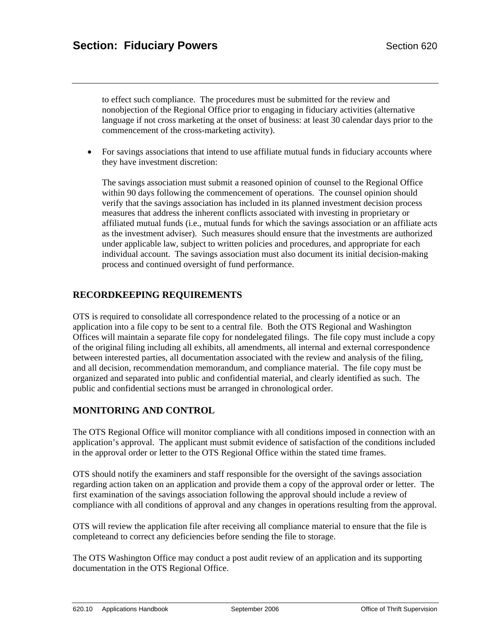to effect such compliance. The procedures must be submitted for the review and nonobjection of the Regional Office prior to engaging in fiduciary activities (alternative language if not cross marketing at the onset of business: at least 30 calendar days prior to the commencement of the cross-marketing activity).

• For savings associations that intend to use affiliate mutual funds in fiduciary accounts where they have investment discretion:

The savings association must submit a reasoned opinion of counsel to the Regional Office within 90 days following the commencement of operations. The counsel opinion should verify that the savings association has included in its planned investment decision process measures that address the inherent conflicts associated with investing in proprietary or affiliated mutual funds (i.e., mutual funds for which the savings association or an affiliate acts as the investment adviser). Such measures should ensure that the investments are authorized under applicable law, subject to written policies and procedures, and appropriate for each individual account. The savings association must also document its initial decision-making process and continued oversight of fund performance.

## **RECORDKEEPING REQUIREMENTS**

OTS is required to consolidate all correspondence related to the processing of a notice or an application into a file copy to be sent to a central file. Both the OTS Regional and Washington Offices will maintain a separate file copy for nondelegated filings. The file copy must include a copy of the original filing including all exhibits, all amendments, all internal and external correspondence between interested parties, all documentation associated with the review and analysis of the filing, and all decision, recommendation memorandum, and compliance material. The file copy must be organized and separated into public and confidential material, and clearly identified as such. The public and confidential sections must be arranged in chronological order.

## **MONITORING AND CONTROL**

The OTS Regional Office will monitor compliance with all conditions imposed in connection with an application's approval. The applicant must submit evidence of satisfaction of the conditions included in the approval order or letter to the OTS Regional Office within the stated time frames.

OTS should notify the examiners and staff responsible for the oversight of the savings association regarding action taken on an application and provide them a copy of the approval order or letter. The first examination of the savings association following the approval should include a review of compliance with all conditions of approval and any changes in operations resulting from the approval.

OTS will review the application file after receiving all compliance material to ensure that the file is completeand to correct any deficiencies before sending the file to storage.

The OTS Washington Office may conduct a post audit review of an application and its supporting documentation in the OTS Regional Office.